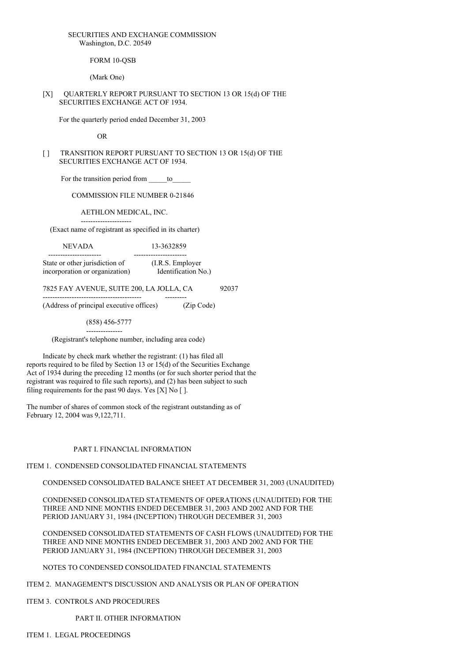### SECURITIES AND EXCHANGE COMMISSION Washington, D.C. 20549

FORM 10-OSB

(Mark One)

### [X] QUARTERLY REPORT PURSUANT TO SECTION 13 OR 15(d) OF THE SECURITIES EXCHANGE ACT OF 1934.

For the quarterly period ended December 31, 2003

OR

[ ] TRANSITION REPORT PURSUANT TO SECTION 13 OR 15(d) OF THE SECURITIES EXCHANGE ACT OF 1934.

For the transition period from to

COMMISSION FILE NUMBER 0-21846

AETHLON MEDICAL, INC.

--------------------- (Exact name of registrant as specified in its charter)

NEVADA 13-3632859

---------------------- ---------------------- State or other jurisdiction of (I.R.S. Employer incorporation or organization) Identification No.)

7825 FAY AVENUE, SUITE 200, LA JOLLA, CA 92037

----------------------------------------- --------- (Address of principal executive offices) (Zip Code)

(858) 456-5777

--------------- (Registrant's telephone number, including area code)

Indicate by check mark whether the registrant: (1) has filed all reports required to be filed by Section 13 or 15(d) of the Securities Exchange Act of 1934 during the preceding 12 months (or for such shorter period that the registrant was required to file such reports), and (2) has been subject to such filing requirements for the past 90 days. Yes [X] No [ ].

The number of shares of common stock of the registrant outstanding as of February 12, 2004 was 9,122,711.

### PART I. FINANCIAL INFORMATION

ITEM 1. CONDENSED CONSOLIDATED FINANCIAL STATEMENTS

CONDENSED CONSOLIDATED BALANCE SHEET AT DECEMBER 31, 2003 (UNAUDITED)

CONDENSED CONSOLIDATED STATEMENTS OF OPERATIONS (UNAUDITED) FOR THE THREE AND NINE MONTHS ENDED DECEMBER 31, 2003 AND 2002 AND FOR THE PERIOD JANUARY 31, 1984 (INCEPTION) THROUGH DECEMBER 31, 2003

CONDENSED CONSOLIDATED STATEMENTS OF CASH FLOWS (UNAUDITED) FOR THE THREE AND NINE MONTHS ENDED DECEMBER 31, 2003 AND 2002 AND FOR THE PERIOD JANUARY 31, 1984 (INCEPTION) THROUGH DECEMBER 31, 2003

### NOTES TO CONDENSED CONSOLIDATED FINANCIAL STATEMENTS

ITEM 2. MANAGEMENT'S DISCUSSION AND ANALYSIS OR PLAN OF OPERATION

ITEM 3. CONTROLS AND PROCEDURES

PART II. OTHER INFORMATION

ITEM 1. LEGAL PROCEEDINGS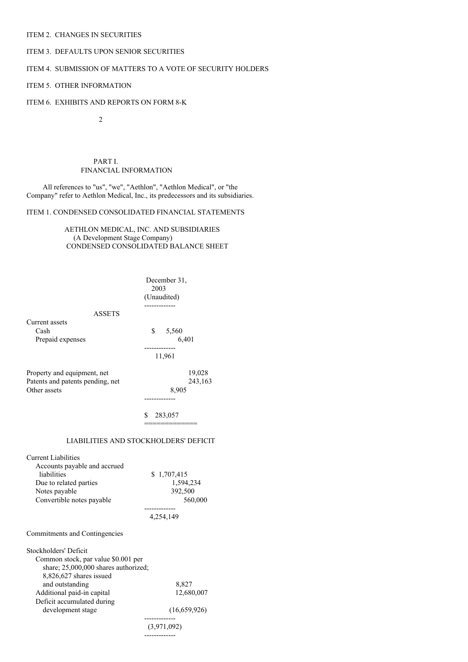### ITEM 2. CHANGES IN SECURITIES

### ITEM 3. DEFAULTS UPON SENIOR SECURITIES

### ITEM 4. SUBMISSION OF MATTERS TO A VOTE OF SECURITY HOLDERS

### ITEM 5. OTHER INFORMATION

### ITEM 6. EXHIBITS AND REPORTS ON FORM 8-K

2

PART I. FINANCIAL INFORMATION

All references to "us", "we", "Aethlon", "Aethlon Medical", or "the Company" refer to Aethlon Medical, Inc., its predecessors and its subsidiaries.

### ITEM 1. CONDENSED CONSOLIDATED FINANCIAL STATEMENTS

AETHLON MEDICAL, INC. AND SUBSIDIARIES (A Development Stage Company) CONDENSED CONSOLIDATED BALANCE SHEET

|                                                                                                                                                   | December 31,<br>2003<br>(Unaudited)                         |  |  |  |
|---------------------------------------------------------------------------------------------------------------------------------------------------|-------------------------------------------------------------|--|--|--|
| <b>ASSETS</b>                                                                                                                                     |                                                             |  |  |  |
| Current assets<br>Cash<br>Prepaid expenses                                                                                                        | \$5,560<br>6,401                                            |  |  |  |
|                                                                                                                                                   | 11,961                                                      |  |  |  |
| Property and equipment, net<br>Patents and patents pending, net<br>Other assets                                                                   | 19,028<br>243,163<br>8,905                                  |  |  |  |
|                                                                                                                                                   | \$<br>283,057                                               |  |  |  |
| LIABILITIES AND STOCKHOLDERS' DEFICIT                                                                                                             |                                                             |  |  |  |
| <b>Current Liabilities</b><br>Accounts payable and accrued<br>liabilities<br>Due to related parties<br>Notes payable<br>Convertible notes payable | \$1,707,415<br>1,594,234<br>392,500<br>560,000<br>4,254,149 |  |  |  |
|                                                                                                                                                   |                                                             |  |  |  |
| Commitments and Contingencies                                                                                                                     |                                                             |  |  |  |
| Stockholders' Deficit<br>Common stock, par value \$0.001 per<br>share; 25,000,000 shares authorized;<br>8,826,627 shares issued                   |                                                             |  |  |  |
| and outstanding                                                                                                                                   | 8,827                                                       |  |  |  |
| Additional paid-in capital<br>Deficit accumulated during                                                                                          | 12,680,007                                                  |  |  |  |
| development stage                                                                                                                                 | (16,659,926)                                                |  |  |  |
|                                                                                                                                                   | (3,971,092)                                                 |  |  |  |
|                                                                                                                                                   |                                                             |  |  |  |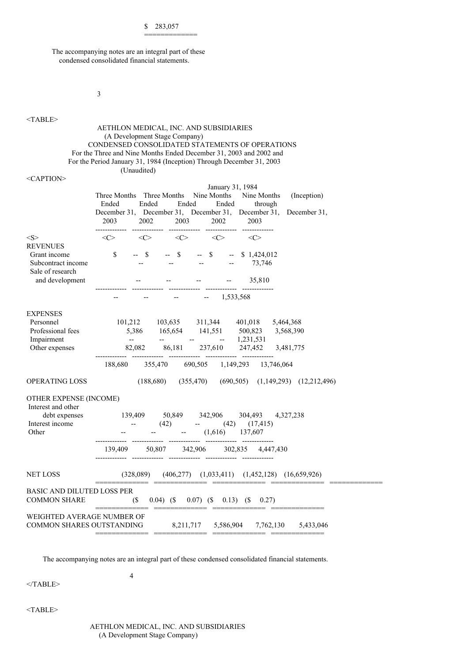\$ 283,057

=============

The accompanying notes are an integral part of these condensed consolidated financial statements.

3

### <TABLE>

### AETHLON MEDICAL, INC. AND SUBSIDIARIES (A Development Stage Company) CONDENSED CONSOLIDATED STATEMENTS OF OPERATIONS For the Three and Nine Months Ended December 31, 2003 and 2002 and For the Period January 31, 1984 (Inception) Through December 31, 2003 (Unaudited)

| <caption></caption> |
|---------------------|
|---------------------|

|                                              | January 31, 1984                                                                                       |
|----------------------------------------------|--------------------------------------------------------------------------------------------------------|
|                                              | Three Months Three Months Nine Months Nine Months<br>(Inception)                                       |
|                                              | Ended<br>Ended<br>Ended<br>Ended<br>through                                                            |
|                                              | December 31, December 31, December 31, December 31, December 31,                                       |
|                                              | 2003<br>2003<br>2002<br>2002<br>2003                                                                   |
|                                              | -------------                                                                                          |
| < S >                                        | $\langle C \rangle$ $\langle C \rangle$ $\langle C \rangle$ $\langle C \rangle$<br>$\langle C \rangle$ |
| <b>REVENUES</b>                              |                                                                                                        |
| Grant income                                 | \$<br>$--$ \$<br>$-$ \$ $-$ \$<br>$-$ \$ 1,424,012                                                     |
| Subcontract income                           | 73,746                                                                                                 |
| Sale of research                             |                                                                                                        |
| and development                              | 35,810                                                                                                 |
|                                              | $-1,533,568$                                                                                           |
|                                              |                                                                                                        |
| <b>EXPENSES</b>                              |                                                                                                        |
| Personnel                                    | 101,212 103,635 311,344 401,018 5,464,368                                                              |
| Professional fees                            |                                                                                                        |
| Impairment                                   | 5,386 165,654 141,551 500,823 3,568,390                                                                |
| Other expenses                               | 82,082 86,181 237,610 247,452 3,481,775                                                                |
|                                              |                                                                                                        |
|                                              | 188,680 355,470 690,505 1,149,293 13,746,064                                                           |
|                                              |                                                                                                        |
| <b>OPERATING LOSS</b>                        | $(188,680)$ $(355,470)$ $(690,505)$ $(1,149,293)$ $(12,212,496)$                                       |
|                                              |                                                                                                        |
| OTHER EXPENSE (INCOME)<br>Interest and other |                                                                                                        |
| debt expenses                                | 139,409 50,849 342,906 304,493 4,327,238                                                               |
| Interest income                              | <b>Contract Contract</b><br>$(42)$ -- $(42)$ $(17,415)$                                                |
| Other                                        | $\frac{1}{2} \frac{1}{2} \left( \frac{1}{2} \right)$<br>$-$ (1,616) 137,607                            |
|                                              |                                                                                                        |
|                                              | 139,409 50,807 342,906 302,835 4,447,430                                                               |
|                                              |                                                                                                        |
|                                              |                                                                                                        |
| <b>NET LOSS</b>                              | $(328,089)$ $(406,277)$ $(1,033,411)$ $(1,452,128)$ $(16,659,926)$                                     |
|                                              |                                                                                                        |
|                                              |                                                                                                        |
| <b>BASIC AND DILUTED LOSS PER</b>            |                                                                                                        |
| <b>COMMON SHARE</b>                          | $\mathcal{S}$<br>$(0.04)$ (\$ 0.07) (\$ 0.13) (\$ 0.27)                                                |
|                                              | ===================================                                                                    |
| WEIGHTED AVERAGE NUMBER OF                   |                                                                                                        |
| <b>COMMON SHARES OUTSTANDING</b>             | 8,211,717 5,586,904 7,762,130 5,433,046                                                                |

The accompanying notes are an integral part of these condensed consolidated financial statements.

 $<$ /TABLE>

<TABLE>

AETHLON MEDICAL, INC. AND SUBSIDIARIES (A Development Stage Company)

4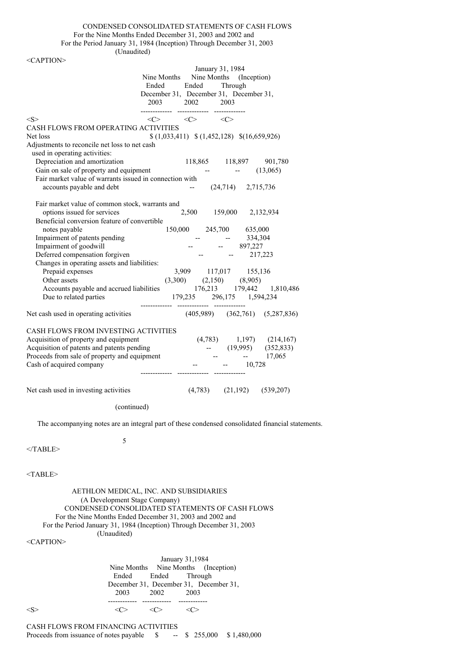CONDENSED CONSOLIDATED STATEMENTS OF CASH FLOWS For the Nine Months Ended December 31, 2003 and 2002 and

For the Period January 31, 1984 (Inception) Through December 31, 2003

(Unaudited)

 $\angle C$  A DTION

| Ended                                                   | Ended                                                       | January 31, 1984 | Nine Months Nine Months (Inception)<br>Through |                                       |
|---------------------------------------------------------|-------------------------------------------------------------|------------------|------------------------------------------------|---------------------------------------|
|                                                         | $2003 \qquad \quad 2002 \qquad \quad 2003$                  | --------------   | December 31, December 31, December 31,         |                                       |
| <s></s>                                                 | $\langle C \rangle$ $\langle C \rangle$ $\langle C \rangle$ |                  |                                                |                                       |
| CASH FLOWS FROM OPERATING ACTIVITIES                    |                                                             |                  |                                                |                                       |
| Net loss                                                |                                                             |                  | $(1,033,411)$ $(1,452,128)$ $(16,659,926)$     |                                       |
| Adjustments to reconcile net loss to net cash           |                                                             |                  |                                                |                                       |
| used in operating activities:                           |                                                             |                  |                                                |                                       |
| Depreciation and amortization                           |                                                             |                  | 118,865 118,897 901,780                        |                                       |
| Gain on sale of property and equipment                  |                                                             |                  |                                                | (13,065)                              |
| Fair market value of warrants issued in connection with |                                                             |                  |                                                |                                       |
| accounts payable and debt                               |                                                             |                  | $(24,714)$ 2,715,736                           |                                       |
| Fair market value of common stock, warrants and         |                                                             |                  |                                                |                                       |
| options issued for services                             |                                                             |                  | 2,500 159,000 2,132,934                        |                                       |
| Beneficial conversion feature of convertible            |                                                             |                  |                                                |                                       |
| notes payable                                           |                                                             |                  | 150,000 245,700 635,000                        |                                       |
| Impairment of patents pending                           |                                                             |                  | 334,304                                        |                                       |
| Impairment of goodwill                                  |                                                             |                  | $-897,227$                                     |                                       |
| Deferred compensation forgiven                          |                                                             |                  | 217,223                                        |                                       |
| Changes in operating assets and liabilities:            |                                                             |                  |                                                |                                       |
| Prepaid expenses                                        |                                                             |                  | 3,909 117,017 155,136                          |                                       |
| Other assets                                            |                                                             |                  | $(3,300)$ $(2,150)$ $(8,905)$                  |                                       |
| Accounts payable and accrued liabilities                |                                                             |                  |                                                | 176,213 179,442 1,810,486             |
| Due to related parties                                  |                                                             |                  | 179,235 296,175 1,594,234                      |                                       |
| Net cash used in operating activities                   |                                                             |                  |                                                | $(405,989)$ $(362,761)$ $(5,287,836)$ |
| CASH FLOWS FROM INVESTING ACTIVITIES                    |                                                             |                  |                                                |                                       |
| Acquisition of property and equipment                   |                                                             |                  |                                                | $(4,783)$ 1,197) $(214,167)$          |
| Acquisition of patents and patents pending              |                                                             |                  |                                                | $-$ (19,995) (352,833)                |
| Proceeds from sale of property and equipment            |                                                             |                  |                                                | $-17,065$                             |
| Cash of acquired company                                |                                                             |                  | 10,728                                         |                                       |
|                                                         |                                                             |                  |                                                |                                       |
| Net cash used in investing activities                   |                                                             |                  | $(4,783)$ $(21,192)$ $(539,207)$               |                                       |
|                                                         |                                                             |                  |                                                |                                       |

(continued)

5

The accompanying notes are an integral part of these condensed consolidated financial statements.

 $<$ /TABLE>

<TABLE>

AETHLON MEDICAL, INC. AND SUBSIDIARIES (A Development Stage Company) CONDENSED CONSOLIDATED STATEMENTS OF CASH FLOWS For the Nine Months Ended December 31, 2003 and 2002 and For the Period January 31, 1984 (Inception) Through December 31, 2003 (Unaudited)

<CAPTION>

January 31,1984 Nine Months Nine Months (Inception) Ended Ended Through December 31, December 31, December 31, 2003 2002 2003 ------------ ------------ ------------  $\langle S \rangle$   $\langle C \rangle$   $\langle C \rangle$   $\langle C \rangle$ 

CASH FLOWS FROM FINANCING ACTIVITIES Proceeds from issuance of notes payable \$ -- \$ 255,000 \$ 1,480,000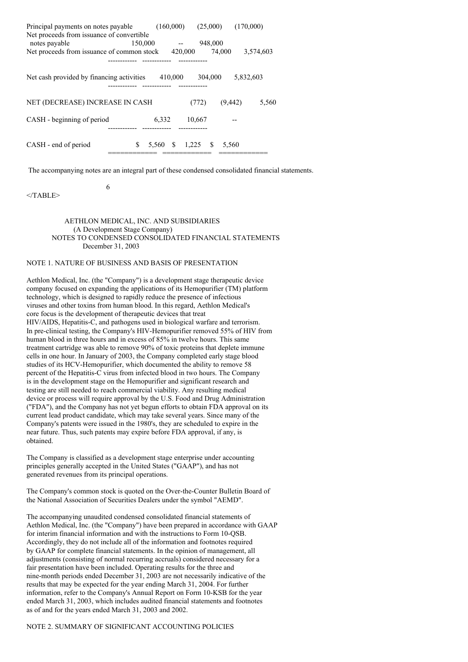| Principal payments on notes payable        |         |       | (160,000) |         |       | (25,000)   | (170,000) |           |
|--------------------------------------------|---------|-------|-----------|---------|-------|------------|-----------|-----------|
| Net proceeds from issuance of convertible  |         |       |           |         |       |            |           |           |
| notes payable                              | 150,000 |       |           |         |       | 948,000    |           |           |
| Net proceeds from issuance of common stock |         |       |           | 420,000 |       | 74,000     |           | 3.574.603 |
|                                            |         |       |           |         |       |            |           |           |
|                                            |         |       |           |         |       |            |           |           |
| Net cash provided by financing activities  |         |       | 410,000   |         |       | 304,000    | 5,832,603 |           |
|                                            |         |       |           |         |       |            |           |           |
|                                            |         |       |           |         |       |            |           |           |
| NET (DECREASE) INCREASE IN CASH            |         |       |           |         | (772) |            | (9, 442)  | 5,560     |
|                                            |         |       |           |         |       |            |           |           |
| CASH - beginning of period                 |         | 6,332 |           | 10,667  |       |            |           |           |
|                                            |         |       |           |         |       |            |           |           |
|                                            |         |       |           |         |       |            |           |           |
| CASH - end of period                       | S       | 5,560 | -S        | 1,225   |       | S<br>5.560 |           |           |
|                                            |         |       |           |         |       |            |           |           |

The accompanying notes are an integral part of these condensed consolidated financial statements.

 $<$ /TABLE>

6

### AETHLON MEDICAL, INC. AND SUBSIDIARIES (A Development Stage Company) NOTES TO CONDENSED CONSOLIDATED FINANCIAL STATEMENTS December 31, 2003

### NOTE 1. NATURE OF BUSINESS AND BASIS OF PRESENTATION

Aethlon Medical, Inc. (the "Company") is a development stage therapeutic device company focused on expanding the applications of its Hemopurifier (TM) platform technology, which is designed to rapidly reduce the presence of infectious viruses and other toxins from human blood. In this regard, Aethlon Medical's core focus is the development of therapeutic devices that treat HIV/AIDS, Hepatitis-C, and pathogens used in biological warfare and terrorism. In pre-clinical testing, the Company's HIV-Hemopurifier removed 55% of HIV from human blood in three hours and in excess of 85% in twelve hours. This same treatment cartridge was able to remove 90% of toxic proteins that deplete immune cells in one hour. In January of 2003, the Company completed early stage blood studies of its HCV-Hemopurifier, which documented the ability to remove 58 percent of the Hepatitis-C virus from infected blood in two hours. The Company is in the development stage on the Hemopurifier and significant research and testing are still needed to reach commercial viability. Any resulting medical device or process will require approval by the U.S. Food and Drug Administration ("FDA"), and the Company has not yet begun efforts to obtain FDA approval on its current lead product candidate, which may take several years. Since many of the Company's patents were issued in the 1980's, they are scheduled to expire in the near future. Thus, such patents may expire before FDA approval, if any, is obtained.

The Company is classified as a development stage enterprise under accounting principles generally accepted in the United States ("GAAP"), and has not generated revenues from its principal operations.

The Company's common stock is quoted on the Over-the-Counter Bulletin Board of the National Association of Securities Dealers under the symbol "AEMD".

The accompanying unaudited condensed consolidated financial statements of Aethlon Medical, Inc. (the "Company") have been prepared in accordance with GAAP for interim financial information and with the instructions to Form 10-QSB. Accordingly, they do not include all of the information and footnotes required by GAAP for complete financial statements. In the opinion of management, all adjustments (consisting of normal recurring accruals) considered necessary for a fair presentation have been included. Operating results for the three and nine-month periods ended December 31, 2003 are not necessarily indicative of the results that may be expected for the year ending March 31, 2004. For further information, refer to the Company's Annual Report on Form 10-KSB for the year ended March 31, 2003, which includes audited financial statements and footnotes as of and for the years ended March 31, 2003 and 2002.

### NOTE 2. SUMMARY OF SIGNIFICANT ACCOUNTING POLICIES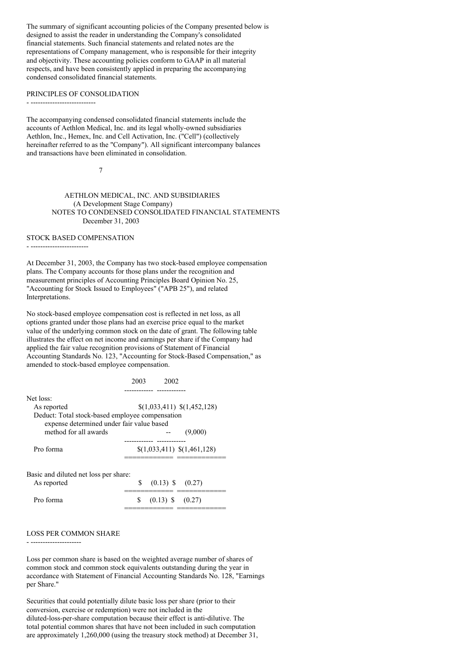The summary of significant accounting policies of the Company presented below is designed to assist the reader in understanding the Company's consolidated financial statements. Such financial statements and related notes are the representations of Company management, who is responsible for their integrity and objectivity. These accounting policies conform to GAAP in all material respects, and have been consistently applied in preparing the accompanying condensed consolidated financial statements.

#### PRINCIPLES OF CONSOLIDATION

- ---------------------------

The accompanying condensed consolidated financial statements include the accounts of Aethlon Medical, Inc. and its legal wholly-owned subsidiaries Aethlon, Inc., Hemex, Inc. and Cell Activation, Inc. ("Cell") (collectively hereinafter referred to as the "Company"). All significant intercompany balances and transactions have been eliminated in consolidation.

7

AETHLON MEDICAL, INC. AND SUBSIDIARIES (A Development Stage Company) NOTES TO CONDENSED CONSOLIDATED FINANCIAL STATEMENTS December 31, 2003

### STOCK BASED COMPENSATION

- ------------------------

At December 31, 2003, the Company has two stock-based employee compensation plans. The Company accounts for those plans under the recognition and measurement principles of Accounting Principles Board Opinion No. 25, "Accounting for Stock Issued to Employees" ("APB 25"), and related Interpretations.

No stock-based employee compensation cost is reflected in net loss, as all options granted under those plans had an exercise price equal to the market value of the underlying common stock on the date of grant. The following table illustrates the effect on net income and earnings per share if the Company had applied the fair value recognition provisions of Statement of Financial Accounting Standards No. 123, "Accounting for Stock-Based Compensation," as amended to stock-based employee compensation.

|                                                                                                                          | 2003<br>2002                |
|--------------------------------------------------------------------------------------------------------------------------|-----------------------------|
| Net loss:<br>As reported<br>Deduct: Total stock-based employee compensation<br>expense determined under fair value based | \$(1,033,411) \$(1,452,128) |
| method for all awards                                                                                                    | (9,000)                     |
| Pro forma                                                                                                                | \$(1,033,411) \$(1,461,128) |
| Basic and diluted net loss per share:<br>As reported                                                                     | \$<br>$(0.13)$ \$ $(0.27)$  |
| Pro forma                                                                                                                | S<br>$(0.13)$ \$ $(0.27)$   |

#### LOSS PER COMMON SHARE

- ---------------------

Loss per common share is based on the weighted average number of shares of common stock and common stock equivalents outstanding during the year in accordance with Statement of Financial Accounting Standards No. 128, "Earnings per Share."

Securities that could potentially dilute basic loss per share (prior to their conversion, exercise or redemption) were not included in the diluted-loss-per-share computation because their effect is anti-dilutive. The total potential common shares that have not been included in such computation are approximately 1,260,000 (using the treasury stock method) at December 31,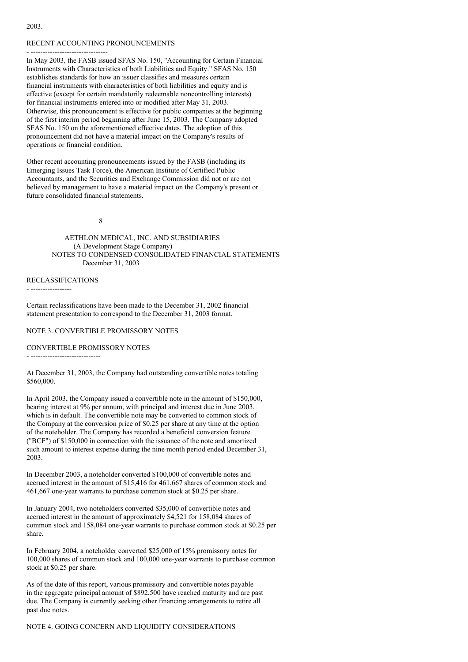#### 2003.

#### RECENT ACCOUNTING PRONOUNCEMENTS

- ---------------------------------In May 2003, the FASB issued SFAS No. 150, "Accounting for Certain Financial Instruments with Characteristics of both Liabilities and Equity." SFAS No. 150 establishes standards for how an issuer classifies and measures certain financial instruments with characteristics of both liabilities and equity and is effective (except for certain mandatorily redeemable noncontrolling interests) for financial instruments entered into or modified after May 31, 2003. Otherwise, this pronouncement is effective for public companies at the beginning of the first interim period beginning after June 15, 2003. The Company adopted SFAS No. 150 on the aforementioned effective dates. The adoption of this pronouncement did not have a material impact on the Company's results of operations or financial condition.

Other recent accounting pronouncements issued by the FASB (including its Emerging Issues Task Force), the American Institute of Certified Public Accountants, and the Securities and Exchange Commission did not or are not believed by management to have a material impact on the Company's present or future consolidated financial statements.

#### 8

AETHLON MEDICAL, INC. AND SUBSIDIARIES (A Development Stage Company) NOTES TO CONDENSED CONSOLIDATED FINANCIAL STATEMENTS December 31, 2003

### RECLASSIFICATIONS

- -----------------

Certain reclassifications have been made to the December 31, 2002 financial statement presentation to correspond to the December 31, 2003 format.

NOTE 3. CONVERTIBLE PROMISSORY NOTES

### CONVERTIBLE PROMISSORY NOTES

- -----------------------------

At December 31, 2003, the Company had outstanding convertible notes totaling \$560,000.

In April 2003, the Company issued a convertible note in the amount of \$150,000, bearing interest at 9% per annum, with principal and interest due in June 2003, which is in default. The convertible note may be converted to common stock of the Company at the conversion price of \$0.25 per share at any time at the option of the noteholder. The Company has recorded a beneficial conversion feature ("BCF") of \$150,000 in connection with the issuance of the note and amortized such amount to interest expense during the nine month period ended December 31, 2003.

In December 2003, a noteholder converted \$100,000 of convertible notes and accrued interest in the amount of \$15,416 for 461,667 shares of common stock and 461,667 one-year warrants to purchase common stock at \$0.25 per share.

In January 2004, two noteholders converted \$35,000 of convertible notes and accrued interest in the amount of approximately \$4,521 for 158,084 shares of common stock and 158,084 one-year warrants to purchase common stock at \$0.25 per share.

In February 2004, a noteholder converted \$25,000 of 15% promissory notes for 100,000 shares of common stock and 100,000 one-year warrants to purchase common stock at \$0.25 per share.

As of the date of this report, various promissory and convertible notes payable in the aggregate principal amount of \$892,500 have reached maturity and are past due. The Company is currently seeking other financing arrangements to retire all past due notes.

NOTE 4. GOING CONCERN AND LIQUIDITY CONSIDERATIONS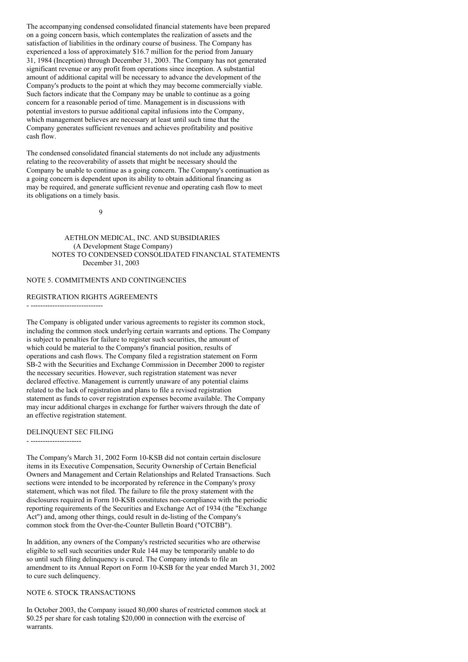The accompanying condensed consolidated financial statements have been prepared on a going concern basis, which contemplates the realization of assets and the satisfaction of liabilities in the ordinary course of business. The Company has experienced a loss of approximately \$16.7 million for the period from January 31, 1984 (Inception) through December 31, 2003. The Company has not generated significant revenue or any profit from operations since inception. A substantial amount of additional capital will be necessary to advance the development of the Company's products to the point at which they may become commercially viable. Such factors indicate that the Company may be unable to continue as a going concern for a reasonable period of time. Management is in discussions with potential investors to pursue additional capital infusions into the Company, which management believes are necessary at least until such time that the Company generates sufficient revenues and achieves profitability and positive cash flow.

The condensed consolidated financial statements do not include any adjustments relating to the recoverability of assets that might be necessary should the Company be unable to continue as a going concern. The Company's continuation as a going concern is dependent upon its ability to obtain additional financing as may be required, and generate sufficient revenue and operating cash flow to meet its obligations on a timely basis.

9

AETHLON MEDICAL, INC. AND SUBSIDIARIES (A Development Stage Company) NOTES TO CONDENSED CONSOLIDATED FINANCIAL STATEMENTS December 31, 2003

### NOTE 5. COMMITMENTS AND CONTINGENCIES

### REGISTRATION RIGHTS AGREEMENTS

- ------------------------------

The Company is obligated under various agreements to register its common stock, including the common stock underlying certain warrants and options. The Company is subject to penalties for failure to register such securities, the amount of which could be material to the Company's financial position, results of operations and cash flows. The Company filed a registration statement on Form SB-2 with the Securities and Exchange Commission in December 2000 to register the necessary securities. However, such registration statement was never declared effective. Management is currently unaware of any potential claims related to the lack of registration and plans to file a revised registration statement as funds to cover registration expenses become available. The Company may incur additional charges in exchange for further waivers through the date of an effective registration statement.

#### DELINQUENT SEC FILING

- ---------------------

The Company's March 31, 2002 Form 10-KSB did not contain certain disclosure items in its Executive Compensation, Security Ownership of Certain Beneficial Owners and Management and Certain Relationships and Related Transactions. Such sections were intended to be incorporated by reference in the Company's proxy statement, which was not filed. The failure to file the proxy statement with the disclosures required in Form 10-KSB constitutes non-compliance with the periodic reporting requirements of the Securities and Exchange Act of 1934 (the "Exchange Act") and, among other things, could result in de-listing of the Company's common stock from the Over-the-Counter Bulletin Board ("OTCBB").

In addition, any owners of the Company's restricted securities who are otherwise eligible to sell such securities under Rule 144 may be temporarily unable to do so until such filing delinquency is cured. The Company intends to file an amendment to its Annual Report on Form 10-KSB for the year ended March 31, 2002 to cure such delinquency.

### NOTE 6. STOCK TRANSACTIONS

In October 2003, the Company issued 80,000 shares of restricted common stock at \$0.25 per share for cash totaling \$20,000 in connection with the exercise of warrants.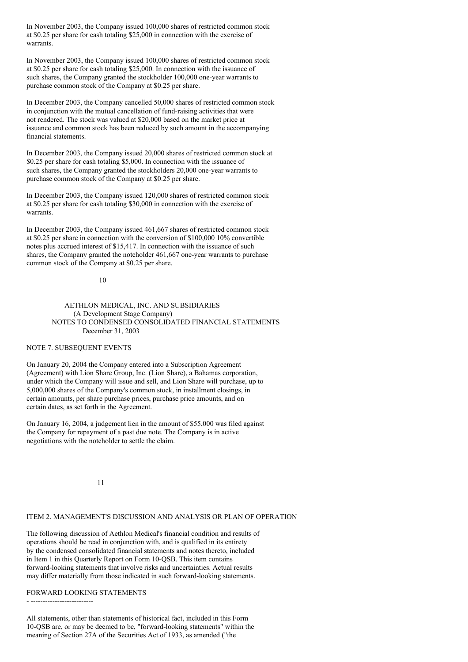In November 2003, the Company issued 100,000 shares of restricted common stock at \$0.25 per share for cash totaling \$25,000 in connection with the exercise of warrants.

In November 2003, the Company issued 100,000 shares of restricted common stock at \$0.25 per share for cash totaling \$25,000. In connection with the issuance of such shares, the Company granted the stockholder 100,000 one-year warrants to purchase common stock of the Company at \$0.25 per share.

In December 2003, the Company cancelled 50,000 shares of restricted common stock in conjunction with the mutual cancellation of fund-raising activities that were not rendered. The stock was valued at \$20,000 based on the market price at issuance and common stock has been reduced by such amount in the accompanying financial statements.

In December 2003, the Company issued 20,000 shares of restricted common stock at \$0.25 per share for cash totaling \$5,000. In connection with the issuance of such shares, the Company granted the stockholders 20,000 one-year warrants to purchase common stock of the Company at \$0.25 per share.

In December 2003, the Company issued 120,000 shares of restricted common stock at \$0.25 per share for cash totaling \$30,000 in connection with the exercise of warrants.

In December 2003, the Company issued 461,667 shares of restricted common stock at \$0.25 per share in connection with the conversion of \$100,000 10% convertible notes plus accrued interest of \$15,417. In connection with the issuance of such shares, the Company granted the noteholder 461,667 one-year warrants to purchase common stock of the Company at \$0.25 per share.

### 10

AETHLON MEDICAL, INC. AND SUBSIDIARIES (A Development Stage Company) NOTES TO CONDENSED CONSOLIDATED FINANCIAL STATEMENTS December 31, 2003

### NOTE 7. SUBSEQUENT EVENTS

On January 20, 2004 the Company entered into a Subscription Agreement (Agreement) with Lion Share Group, Inc. (Lion Share), a Bahamas corporation, under which the Company will issue and sell, and Lion Share will purchase, up to 5,000,000 shares of the Company's common stock, in installment closings, in certain amounts, per share purchase prices, purchase price amounts, and on certain dates, as set forth in the Agreement.

On January 16, 2004, a judgement lien in the amount of \$55,000 was filed against the Company for repayment of a past due note. The Company is in active negotiations with the noteholder to settle the claim.

11

## ITEM 2. MANAGEMENT'S DISCUSSION AND ANALYSIS OR PLAN OF OPERATION

The following discussion of Aethlon Medical's financial condition and results of operations should be read in conjunction with, and is qualified in its entirety by the condensed consolidated financial statements and notes thereto, included in Item 1 in this Quarterly Report on Form 10-QSB. This item contains forward-looking statements that involve risks and uncertainties. Actual results may differ materially from those indicated in such forward-looking statements.

## FORWARD LOOKING STATEMENTS

- --------------------------

All statements, other than statements of historical fact, included in this Form 10-QSB are, or may be deemed to be, "forward-looking statements" within the meaning of Section 27A of the Securities Act of 1933, as amended ("the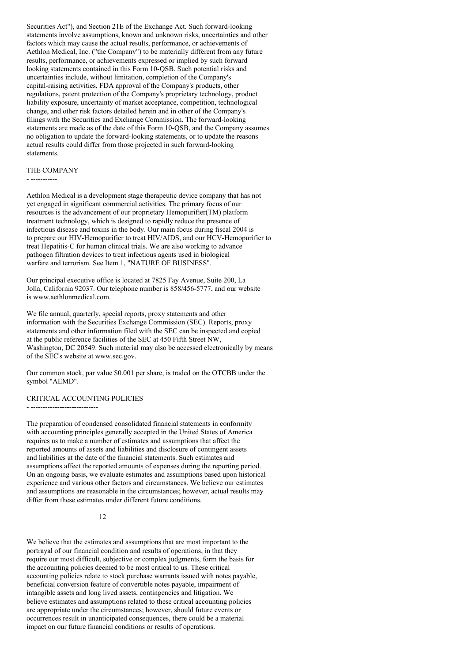Securities Act"), and Section 21E of the Exchange Act. Such forward-looking statements involve assumptions, known and unknown risks, uncertainties and other factors which may cause the actual results, performance, or achievements of Aethlon Medical, Inc. ("the Company") to be materially different from any future results, performance, or achievements expressed or implied by such forward looking statements contained in this Form 10-QSB. Such potential risks and uncertainties include, without limitation, completion of the Company's capital-raising activities, FDA approval of the Company's products, other regulations, patent protection of the Company's proprietary technology, product liability exposure, uncertainty of market acceptance, competition, technological change, and other risk factors detailed herein and in other of the Company's filings with the Securities and Exchange Commission. The forward-looking statements are made as of the date of this Form 10-QSB, and the Company assumes no obligation to update the forward-looking statements, or to update the reasons actual results could differ from those projected in such forward-looking statements.

### THE COMPANY

- -----------

Aethlon Medical is a development stage therapeutic device company that has not yet engaged in significant commercial activities. The primary focus of our resources is the advancement of our proprietary Hemopurifier(TM) platform treatment technology, which is designed to rapidly reduce the presence of infectious disease and toxins in the body. Our main focus during fiscal 2004 is to prepare our HIV-Hemopurifier to treat HIV/AIDS, and our HCV-Hemopurifier to treat Hepatitis-C for human clinical trials. We are also working to advance pathogen filtration devices to treat infectious agents used in biological warfare and terrorism. See Item 1, "NATURE OF BUSINESS".

Our principal executive office is located at 7825 Fay Avenue, Suite 200, La Jolla, California 92037. Our telephone number is 858/456-5777, and our website is www.aethlonmedical.com.

We file annual, quarterly, special reports, proxy statements and other information with the Securities Exchange Commission (SEC). Reports, proxy statements and other information filed with the SEC can be inspected and copied at the public reference facilities of the SEC at 450 Fifth Street NW, Washington, DC 20549. Such material may also be accessed electronically by means of the SEC's website at www.sec.gov.

Our common stock, par value \$0.001 per share, is traded on the OTCBB under the symbol "AEMD".

#### CRITICAL ACCOUNTING POLICIES

- ----------------------------

The preparation of condensed consolidated financial statements in conformity with accounting principles generally accepted in the United States of America requires us to make a number of estimates and assumptions that affect the reported amounts of assets and liabilities and disclosure of contingent assets and liabilities at the date of the financial statements. Such estimates and assumptions affect the reported amounts of expenses during the reporting period. On an ongoing basis, we evaluate estimates and assumptions based upon historical experience and various other factors and circumstances. We believe our estimates and assumptions are reasonable in the circumstances; however, actual results may differ from these estimates under different future conditions.

### 12

We believe that the estimates and assumptions that are most important to the portrayal of our financial condition and results of operations, in that they require our most difficult, subjective or complex judgments, form the basis for the accounting policies deemed to be most critical to us. These critical accounting policies relate to stock purchase warrants issued with notes payable, beneficial conversion feature of convertible notes payable, impairment of intangible assets and long lived assets, contingencies and litigation. We believe estimates and assumptions related to these critical accounting policies are appropriate under the circumstances; however, should future events or occurrences result in unanticipated consequences, there could be a material impact on our future financial conditions or results of operations.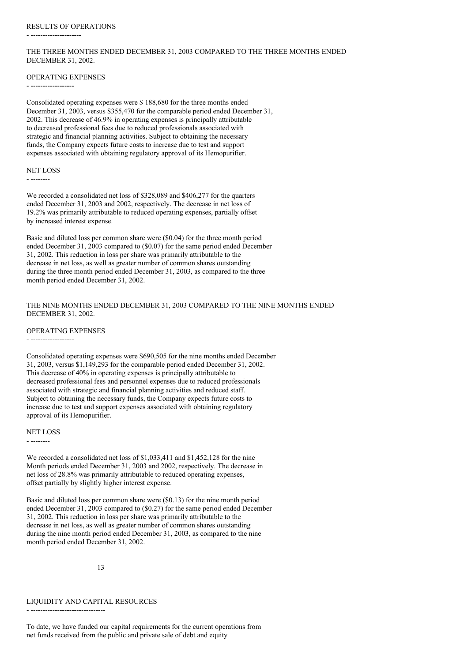- ---------------------

### THE THREE MONTHS ENDED DECEMBER 31, 2003 COMPARED TO THE THREE MONTHS ENDED DECEMBER 31, 2002.

#### OPERATING EXPENSES

- ------------------

Consolidated operating expenses were \$ 188,680 for the three months ended December 31, 2003, versus \$355,470 for the comparable period ended December 31, 2002. This decrease of 46.9% in operating expenses is principally attributable to decreased professional fees due to reduced professionals associated with strategic and financial planning activities. Subject to obtaining the necessary funds, the Company expects future costs to increase due to test and support expenses associated with obtaining regulatory approval of its Hemopurifier.

#### NET LOSS

- --------

We recorded a consolidated net loss of \$328,089 and \$406,277 for the quarters ended December 31, 2003 and 2002, respectively. The decrease in net loss of 19.2% was primarily attributable to reduced operating expenses, partially offset by increased interest expense.

Basic and diluted loss per common share were (\$0.04) for the three month period ended December 31, 2003 compared to (\$0.07) for the same period ended December 31, 2002. This reduction in loss per share was primarily attributable to the decrease in net loss, as well as greater number of common shares outstanding during the three month period ended December 31, 2003, as compared to the three month period ended December 31, 2002.

### THE NINE MONTHS ENDED DECEMBER 31, 2003 COMPARED TO THE NINE MONTHS ENDED DECEMBER 31, 2002.

OPERATING EXPENSES

- ------------------

Consolidated operating expenses were \$690,505 for the nine months ended December 31, 2003, versus \$1,149,293 for the comparable period ended December 31, 2002. This decrease of 40% in operating expenses is principally attributable to decreased professional fees and personnel expenses due to reduced professionals associated with strategic and financial planning activities and reduced staff. Subject to obtaining the necessary funds, the Company expects future costs to increase due to test and support expenses associated with obtaining regulatory approval of its Hemopurifier.

#### NET LOSS

- --------

We recorded a consolidated net loss of \$1,033,411 and \$1,452,128 for the nine Month periods ended December 31, 2003 and 2002, respectively. The decrease in net loss of 28.8% was primarily attributable to reduced operating expenses, offset partially by slightly higher interest expense.

Basic and diluted loss per common share were (\$0.13) for the nine month period ended December 31, 2003 compared to (\$0.27) for the same period ended December 31, 2002. This reduction in loss per share was primarily attributable to the decrease in net loss, as well as greater number of common shares outstanding during the nine month period ended December 31, 2003, as compared to the nine month period ended December 31, 2002.

13

### LIQUIDITY AND CAPITAL RESOURCES

- -------------------------------

To date, we have funded our capital requirements for the current operations from net funds received from the public and private sale of debt and equity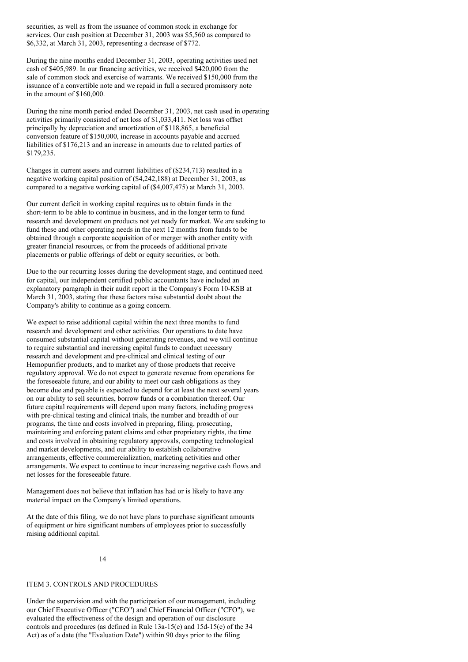securities, as well as from the issuance of common stock in exchange for services. Our cash position at December 31, 2003 was \$5,560 as compared to \$6,332, at March 31, 2003, representing a decrease of \$772.

During the nine months ended December 31, 2003, operating activities used net cash of \$405,989. In our financing activities, we received \$420,000 from the sale of common stock and exercise of warrants. We received \$150,000 from the issuance of a convertible note and we repaid in full a secured promissory note in the amount of \$160,000.

During the nine month period ended December 31, 2003, net cash used in operating activities primarily consisted of net loss of \$1,033,411. Net loss was offset principally by depreciation and amortization of \$118,865, a beneficial conversion feature of \$150,000, increase in accounts payable and accrued liabilities of \$176,213 and an increase in amounts due to related parties of \$179,235.

Changes in current assets and current liabilities of (\$234,713) resulted in a negative working capital position of (\$4,242,188) at December 31, 2003, as compared to a negative working capital of (\$4,007,475) at March 31, 2003.

Our current deficit in working capital requires us to obtain funds in the short-term to be able to continue in business, and in the longer term to fund research and development on products not yet ready for market. We are seeking to fund these and other operating needs in the next 12 months from funds to be obtained through a corporate acquisition of or merger with another entity with greater financial resources, or from the proceeds of additional private placements or public offerings of debt or equity securities, or both.

Due to the our recurring losses during the development stage, and continued need for capital, our independent certified public accountants have included an explanatory paragraph in their audit report in the Company's Form 10-KSB at March 31, 2003, stating that these factors raise substantial doubt about the Company's ability to continue as a going concern.

We expect to raise additional capital within the next three months to fund research and development and other activities. Our operations to date have consumed substantial capital without generating revenues, and we will continue to require substantial and increasing capital funds to conduct necessary research and development and pre-clinical and clinical testing of our Hemopurifier products, and to market any of those products that receive regulatory approval. We do not expect to generate revenue from operations for the foreseeable future, and our ability to meet our cash obligations as they become due and payable is expected to depend for at least the next several years on our ability to sell securities, borrow funds or a combination thereof. Our future capital requirements will depend upon many factors, including progress with pre-clinical testing and clinical trials, the number and breadth of our programs, the time and costs involved in preparing, filing, prosecuting, maintaining and enforcing patent claims and other proprietary rights, the time and costs involved in obtaining regulatory approvals, competing technological and market developments, and our ability to establish collaborative arrangements, effective commercialization, marketing activities and other arrangements. We expect to continue to incur increasing negative cash flows and net losses for the foreseeable future.

Management does not believe that inflation has had or is likely to have any material impact on the Company's limited operations.

At the date of this filing, we do not have plans to purchase significant amounts of equipment or hire significant numbers of employees prior to successfully raising additional capital.

### $14$

### ITEM 3. CONTROLS AND PROCEDURES

Under the supervision and with the participation of our management, including our Chief Executive Officer ("CEO") and Chief Financial Officer ("CFO"), we evaluated the effectiveness of the design and operation of our disclosure controls and procedures (as defined in Rule 13a-15(e) and 15d-15(e) of the 34 Act) as of a date (the "Evaluation Date") within 90 days prior to the filing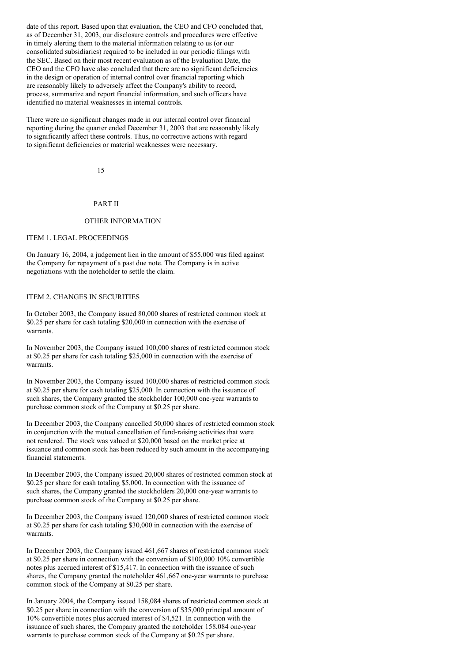date of this report. Based upon that evaluation, the CEO and CFO concluded that, as of December 31, 2003, our disclosure controls and procedures were effective in timely alerting them to the material information relating to us (or our consolidated subsidiaries) required to be included in our periodic filings with the SEC. Based on their most recent evaluation as of the Evaluation Date, the CEO and the CFO have also concluded that there are no significant deficiencies in the design or operation of internal control over financial reporting which are reasonably likely to adversely affect the Company's ability to record, process, summarize and report financial information, and such officers have identified no material weaknesses in internal controls.

There were no significant changes made in our internal control over financial reporting during the quarter ended December 31, 2003 that are reasonably likely to significantly affect these controls. Thus, no corrective actions with regard to significant deficiencies or material weaknesses were necessary.

15

### PART II

### OTHER INFORMATION

#### ITEM 1. LEGAL PROCEEDINGS

On January 16, 2004, a judgement lien in the amount of \$55,000 was filed against the Company for repayment of a past due note. The Company is in active negotiations with the noteholder to settle the claim.

### ITEM 2. CHANGES IN SECURITIES

In October 2003, the Company issued 80,000 shares of restricted common stock at \$0.25 per share for cash totaling \$20,000 in connection with the exercise of warrants.

In November 2003, the Company issued 100,000 shares of restricted common stock at \$0.25 per share for cash totaling \$25,000 in connection with the exercise of warrants.

In November 2003, the Company issued 100,000 shares of restricted common stock at \$0.25 per share for cash totaling \$25,000. In connection with the issuance of such shares, the Company granted the stockholder 100,000 one-year warrants to purchase common stock of the Company at \$0.25 per share.

In December 2003, the Company cancelled 50,000 shares of restricted common stock in conjunction with the mutual cancellation of fund-raising activities that were not rendered. The stock was valued at \$20,000 based on the market price at issuance and common stock has been reduced by such amount in the accompanying financial statements.

In December 2003, the Company issued 20,000 shares of restricted common stock at \$0.25 per share for cash totaling \$5,000. In connection with the issuance of such shares, the Company granted the stockholders 20,000 one-year warrants to purchase common stock of the Company at \$0.25 per share.

In December 2003, the Company issued 120,000 shares of restricted common stock at \$0.25 per share for cash totaling \$30,000 in connection with the exercise of warrants.

In December 2003, the Company issued 461,667 shares of restricted common stock at \$0.25 per share in connection with the conversion of \$100,000 10% convertible notes plus accrued interest of \$15,417. In connection with the issuance of such shares, the Company granted the noteholder 461,667 one-year warrants to purchase common stock of the Company at \$0.25 per share.

In January 2004, the Company issued 158,084 shares of restricted common stock at \$0.25 per share in connection with the conversion of \$35,000 principal amount of 10% convertible notes plus accrued interest of \$4,521. In connection with the issuance of such shares, the Company granted the noteholder 158,084 one-year warrants to purchase common stock of the Company at \$0.25 per share.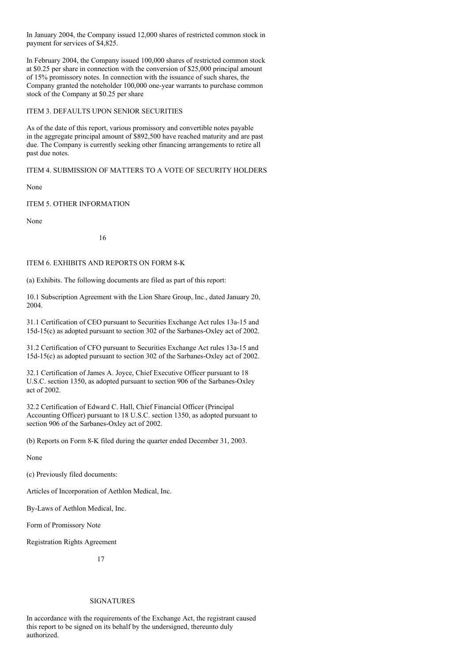In January 2004, the Company issued 12,000 shares of restricted common stock in payment for services of \$4,825.

In February 2004, the Company issued 100,000 shares of restricted common stock at \$0.25 per share in connection with the conversion of \$25,000 principal amount of 15% promissory notes. In connection with the issuance of such shares, the Company granted the noteholder 100,000 one-year warrants to purchase common stock of the Company at \$0.25 per share

### ITEM 3. DEFAULTS UPON SENIOR SECURITIES

As of the date of this report, various promissory and convertible notes payable in the aggregate principal amount of \$892,500 have reached maturity and are past due. The Company is currently seeking other financing arrangements to retire all past due notes.

ITEM 4. SUBMISSION OF MATTERS TO A VOTE OF SECURITY HOLDERS

None

### ITEM 5. OTHER INFORMATION

None

16

### ITEM 6. EXHIBITS AND REPORTS ON FORM 8-K

(a) Exhibits. The following documents are filed as part of this report:

10.1 Subscription Agreement with the Lion Share Group, Inc., dated January 20, 2004.

31.1 Certification of CEO pursuant to Securities Exchange Act rules 13a-15 and 15d-15(c) as adopted pursuant to section 302 of the Sarbanes-Oxley act of 2002.

31.2 Certification of CFO pursuant to Securities Exchange Act rules 13a-15 and 15d-15(c) as adopted pursuant to section 302 of the Sarbanes-Oxley act of 2002.

32.1 Certification of James A. Joyce, Chief Executive Officer pursuant to 18 U.S.C. section 1350, as adopted pursuant to section 906 of the Sarbanes-Oxley act of 2002.

32.2 Certification of Edward C. Hall, Chief Financial Officer (Principal Accounting Officer) pursuant to 18 U.S.C. section 1350, as adopted pursuant to section 906 of the Sarbanes-Oxley act of 2002.

(b) Reports on Form 8-K filed during the quarter ended December 31, 2003.

None

(c) Previously filed documents:

Articles of Incorporation of Aethlon Medical, Inc.

By-Laws of Aethlon Medical, Inc.

Form of Promissory Note

Registration Rights Agreement

17

#### SIGNATURES

In accordance with the requirements of the Exchange Act, the registrant caused this report to be signed on its behalf by the undersigned, thereunto duly authorized.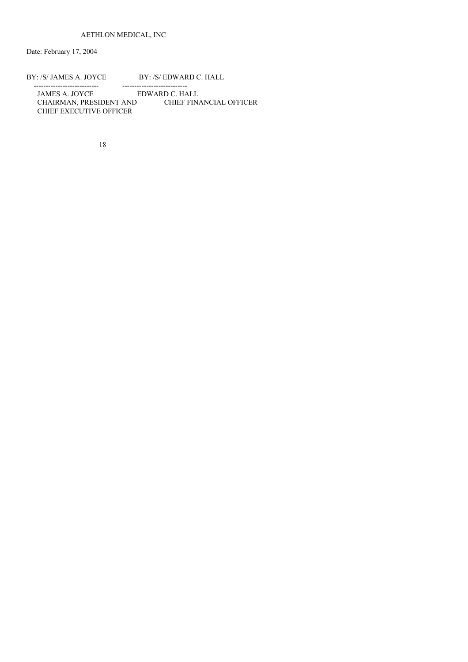Date: February 17, 2004

# BY: /S/ JAMES A. JOYCE BY: /S/ EDWARD C. HALL

--------------------------- --------------------------- JAMES A. JOYCE EDWARD C. HALL CHAIRMAN, PRESIDENT AND CHIEF FINANCIAL OFFICER CHIEF EXECUTIVE OFFICER

18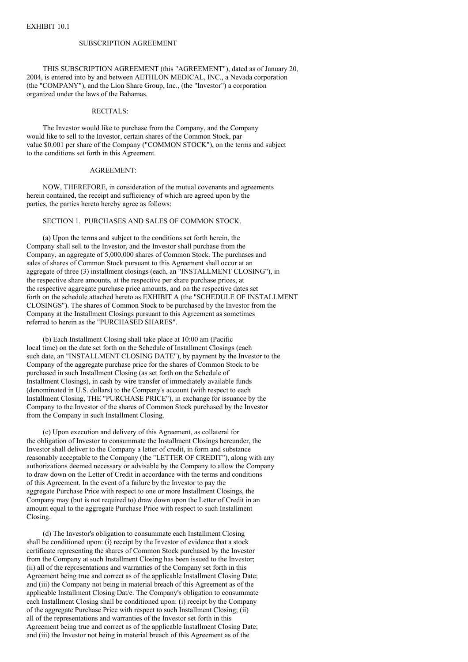#### SUBSCRIPTION AGREEMENT

THIS SUBSCRIPTION AGREEMENT (this "AGREEMENT"), dated as of January 20, 2004, is entered into by and between AETHLON MEDICAL, INC., a Nevada corporation (the "COMPANY"), and the Lion Share Group, Inc., (the "Investor") a corporation organized under the laws of the Bahamas.

#### RECITALS:

The Investor would like to purchase from the Company, and the Company would like to sell to the Investor, certain shares of the Common Stock, par value \$0.001 per share of the Company ("COMMON STOCK"), on the terms and subject to the conditions set forth in this Agreement.

#### AGREEMENT:

NOW, THEREFORE, in consideration of the mutual covenants and agreements herein contained, the receipt and sufficiency of which are agreed upon by the parties, the parties hereto hereby agree as follows:

### SECTION 1. PURCHASES AND SALES OF COMMON STOCK.

(a) Upon the terms and subject to the conditions set forth herein, the Company shall sell to the Investor, and the Investor shall purchase from the Company, an aggregate of 5,000,000 shares of Common Stock. The purchases and sales of shares of Common Stock pursuant to this Agreement shall occur at an aggregate of three (3) installment closings (each, an "INSTALLMENT CLOSING"), in the respective share amounts, at the respective per share purchase prices, at the respective aggregate purchase price amounts, and on the respective dates set forth on the schedule attached hereto as EXHIBIT A (the "SCHEDULE OF INSTALLMENT CLOSINGS"). The shares of Common Stock to be purchased by the Investor from the Company at the Installment Closings pursuant to this Agreement as sometimes referred to herein as the "PURCHASED SHARES".

(b) Each Installment Closing shall take place at 10:00 am (Pacific local time) on the date set forth on the Schedule of Installment Closings (each such date, an "INSTALLMENT CLOSING DATE"), by payment by the Investor to the Company of the aggregate purchase price for the shares of Common Stock to be purchased in such Installment Closing (as set forth on the Schedule of Installment Closings), in cash by wire transfer of immediately available funds (denominated in U.S. dollars) to the Company's account (with respect to each Installment Closing, THE "PURCHASE PRICE"), in exchange for issuance by the Company to the Investor of the shares of Common Stock purchased by the Investor from the Company in such Installment Closing.

(c) Upon execution and delivery of this Agreement, as collateral for the obligation of Investor to consummate the Installment Closings hereunder, the Investor shall deliver to the Company a letter of credit, in form and substance reasonably acceptable to the Company (the "LETTER OF CREDIT"), along with any authorizations deemed necessary or advisable by the Company to allow the Company to draw down on the Letter of Credit in accordance with the terms and conditions of this Agreement. In the event of a failure by the Investor to pay the aggregate Purchase Price with respect to one or more Installment Closings, the Company may (but is not required to) draw down upon the Letter of Credit in an amount equal to the aggregate Purchase Price with respect to such Installment Closing.

(d) The Investor's obligation to consummate each Installment Closing shall be conditioned upon: (i) receipt by the Investor of evidence that a stock certificate representing the shares of Common Stock purchased by the Investor from the Company at such Installment Closing has been issued to the Investor; (ii) all of the representations and warranties of the Company set forth in this Agreement being true and correct as of the applicable Installment Closing Date; and (iii) the Company not being in material breach of this Agreement as of the applicable Installment Closing Dat/e. The Company's obligation to consummate each Installment Closing shall be conditioned upon: (i) receipt by the Company of the aggregate Purchase Price with respect to such Installment Closing; (ii) all of the representations and warranties of the Investor set forth in this Agreement being true and correct as of the applicable Installment Closing Date; and (iii) the Investor not being in material breach of this Agreement as of the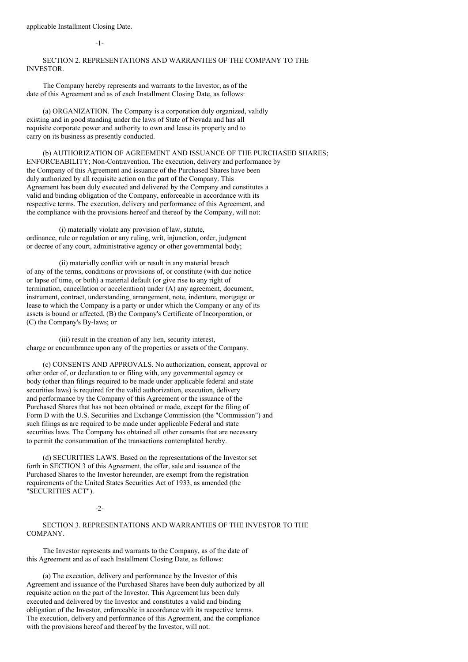applicable Installment Closing Date.

-1-

### SECTION 2. REPRESENTATIONS AND WARRANTIES OF THE COMPANY TO THE INVESTOR.

The Company hereby represents and warrants to the Investor, as of the date of this Agreement and as of each Installment Closing Date, as follows:

(a) ORGANIZATION. The Company is a corporation duly organized, validly existing and in good standing under the laws of State of Nevada and has all requisite corporate power and authority to own and lease its property and to carry on its business as presently conducted.

(b) AUTHORIZATION OF AGREEMENT AND ISSUANCE OF THE PURCHASED SHARES; ENFORCEABILITY; Non-Contravention. The execution, delivery and performance by the Company of this Agreement and issuance of the Purchased Shares have been duly authorized by all requisite action on the part of the Company. This Agreement has been duly executed and delivered by the Company and constitutes a valid and binding obligation of the Company, enforceable in accordance with its respective terms. The execution, delivery and performance of this Agreement, and the compliance with the provisions hereof and thereof by the Company, will not:

(i) materially violate any provision of law, statute, ordinance, rule or regulation or any ruling, writ, injunction, order, judgment or decree of any court, administrative agency or other governmental body;

(ii) materially conflict with or result in any material breach of any of the terms, conditions or provisions of, or constitute (with due notice or lapse of time, or both) a material default (or give rise to any right of termination, cancellation or acceleration) under (A) any agreement, document, instrument, contract, understanding, arrangement, note, indenture, mortgage or lease to which the Company is a party or under which the Company or any of its assets is bound or affected, (B) the Company's Certificate of Incorporation, or (C) the Company's By-laws; or

(iii) result in the creation of any lien, security interest, charge or encumbrance upon any of the properties or assets of the Company.

(c) CONSENTS AND APPROVALS. No authorization, consent, approval or other order of, or declaration to or filing with, any governmental agency or body (other than filings required to be made under applicable federal and state securities laws) is required for the valid authorization, execution, delivery and performance by the Company of this Agreement or the issuance of the Purchased Shares that has not been obtained or made, except for the filing of Form D with the U.S. Securities and Exchange Commission (the "Commission") and such filings as are required to be made under applicable Federal and state securities laws. The Company has obtained all other consents that are necessary to permit the consummation of the transactions contemplated hereby.

(d) SECURITIES LAWS. Based on the representations of the Investor set forth in SECTION 3 of this Agreement, the offer, sale and issuance of the Purchased Shares to the Investor hereunder, are exempt from the registration requirements of the United States Securities Act of 1933, as amended (the "SECURITIES ACT").

-2-

SECTION 3. REPRESENTATIONS AND WARRANTIES OF THE INVESTOR TO THE COMPANY.

The Investor represents and warrants to the Company, as of the date of this Agreement and as of each Installment Closing Date, as follows:

(a) The execution, delivery and performance by the Investor of this Agreement and issuance of the Purchased Shares have been duly authorized by all requisite action on the part of the Investor. This Agreement has been duly executed and delivered by the Investor and constitutes a valid and binding obligation of the Investor, enforceable in accordance with its respective terms. The execution, delivery and performance of this Agreement, and the compliance with the provisions hereof and thereof by the Investor, will not: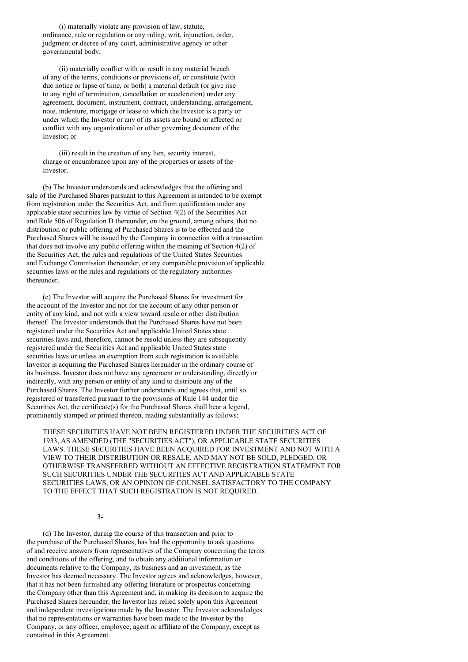(i) materially violate any provision of law, statute, ordinance, rule or regulation or any ruling, writ, injunction, order, judgment or decree of any court, administrative agency or other governmental body;

(ii) materially conflict with or result in any material breach of any of the terms, conditions or provisions of, or constitute (with due notice or lapse of time, or both) a material default (or give rise to any right of termination, cancellation or acceleration) under any agreement, document, instrument, contract, understanding, arrangement, note, indenture, mortgage or lease to which the Investor is a party or under which the Investor or any of its assets are bound or affected or conflict with any organizational or other governing document of the Investor; or

(iii) result in the creation of any lien, security interest, charge or encumbrance upon any of the properties or assets of the Investor.

(b) The Investor understands and acknowledges that the offering and sale of the Purchased Shares pursuant to this Agreement is intended to be exempt from registration under the Securities Act, and from qualification under any applicable state securities law by virtue of Section 4(2) of the Securities Act and Rule 506 of Regulation D thereunder, on the ground, among others, that no distribution or public offering of Purchased Shares is to be effected and the Purchased Shares will be issued by the Company in connection with a transaction that does not involve any public offering within the meaning of Section 4(2) of the Securities Act, the rules and regulations of the United States Securities and Exchange Commission thereunder, or any comparable provision of applicable securities laws or the rules and regulations of the regulatory authorities thereunder.

(c) The Investor will acquire the Purchased Shares for investment for the account of the Investor and not for the account of any other person or entity of any kind, and not with a view toward resale or other distribution thereof. The Investor understands that the Purchased Shares have not been registered under the Securities Act and applicable United States state securities laws and, therefore, cannot be resold unless they are subsequently registered under the Securities Act and applicable United States state securities laws or unless an exemption from such registration is available. Investor is acquiring the Purchased Shares hereunder in the ordinary course of its business. Investor does not have any agreement or understanding, directly or indirectly, with any person or entity of any kind to distribute any of the Purchased Shares. The Investor further understands and agrees that, until so registered or transferred pursuant to the provisions of Rule 144 under the Securities Act, the certificate(s) for the Purchased Shares shall bear a legend, prominently stamped or printed thereon, reading substantially as follows:

THESE SECURITIES HAVE NOT BEEN REGISTERED UNDER THE SECURITIES ACT OF 1933, AS AMENDED (THE "SECURITIES ACT"), OR APPLICABLE STATE SECURITIES LAWS. THESE SECURITIES HAVE BEEN ACQUIRED FOR INVESTMENT AND NOT WITH A VIEW TO THEIR DISTRIBUTION OR RESALE, AND MAY NOT BE SOLD, PLEDGED, OR OTHERWISE TRANSFERRED WITHOUT AN EFFECTIVE REGISTRATION STATEMENT FOR SUCH SECURITIES UNDER THE SECURITIES ACT AND APPLICABLE STATE SECURITIES LAWS, OR AN OPINION OF COUNSEL SATISFACTORY TO THE COMPANY TO THE EFFECT THAT SUCH REGISTRATION IS NOT REQUIRED.

3-

(d) The Investor, during the course of this transaction and prior to the purchase of the Purchased Shares, has had the opportunity to ask questions of and receive answers from representatives of the Company concerning the terms and conditions of the offering, and to obtain any additional information or documents relative to the Company, its business and an investment, as the Investor has deemed necessary. The Investor agrees and acknowledges, however, that it has not been furnished any offering literature or prospectus concerning the Company other than this Agreement and, in making its decision to acquire the Purchased Shares hereunder, the Investor has relied solely upon this Agreement and independent investigations made by the Investor. The Investor acknowledges that no representations or warranties have been made to the Investor by the Company, or any officer, employee, agent or affiliate of the Company, except as contained in this Agreement.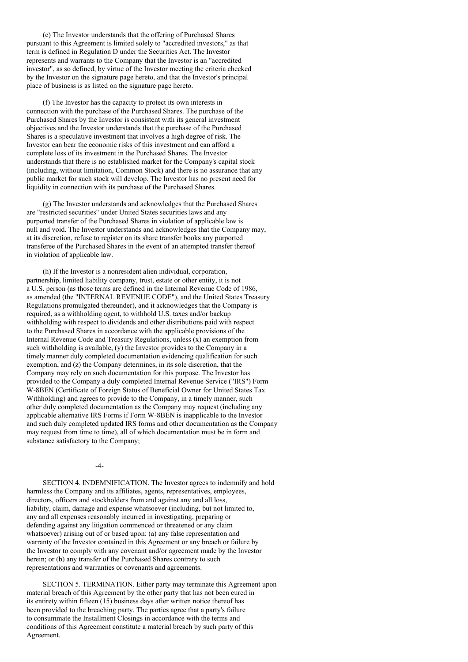(e) The Investor understands that the offering of Purchased Shares pursuant to this Agreement is limited solely to "accredited investors," as that term is defined in Regulation D under the Securities Act. The Investor represents and warrants to the Company that the Investor is an "accredited investor", as so defined, by virtue of the Investor meeting the criteria checked by the Investor on the signature page hereto, and that the Investor's principal place of business is as listed on the signature page hereto.

(f) The Investor has the capacity to protect its own interests in connection with the purchase of the Purchased Shares. The purchase of the Purchased Shares by the Investor is consistent with its general investment objectives and the Investor understands that the purchase of the Purchased Shares is a speculative investment that involves a high degree of risk. The Investor can bear the economic risks of this investment and can afford a complete loss of its investment in the Purchased Shares. The Investor understands that there is no established market for the Company's capital stock (including, without limitation, Common Stock) and there is no assurance that any public market for such stock will develop. The Investor has no present need for liquidity in connection with its purchase of the Purchased Shares.

(g) The Investor understands and acknowledges that the Purchased Shares are "restricted securities" under United States securities laws and any purported transfer of the Purchased Shares in violation of applicable law is null and void. The Investor understands and acknowledges that the Company may, at its discretion, refuse to register on its share transfer books any purported transferee of the Purchased Shares in the event of an attempted transfer thereof in violation of applicable law.

(h) If the Investor is a nonresident alien individual, corporation, partnership, limited liability company, trust, estate or other entity, it is not a U.S. person (as those terms are defined in the Internal Revenue Code of 1986, as amended (the "INTERNAL REVENUE CODE"), and the United States Treasury Regulations promulgated thereunder), and it acknowledges that the Company is required, as a withholding agent, to withhold U.S. taxes and/or backup withholding with respect to dividends and other distributions paid with respect to the Purchased Shares in accordance with the applicable provisions of the Internal Revenue Code and Treasury Regulations, unless (x) an exemption from such withholding is available, (y) the Investor provides to the Company in a timely manner duly completed documentation evidencing qualification for such exemption, and (z) the Company determines, in its sole discretion, that the Company may rely on such documentation for this purpose. The Investor has provided to the Company a duly completed Internal Revenue Service ("IRS") Form W-8BEN (Certificate of Foreign Status of Beneficial Owner for United States Tax Withholding) and agrees to provide to the Company, in a timely manner, such other duly completed documentation as the Company may request (including any applicable alternative IRS Forms if Form W-8BEN is inapplicable to the Investor and such duly completed updated IRS forms and other documentation as the Company may request from time to time), all of which documentation must be in form and substance satisfactory to the Company;

 $-4-$ 

SECTION 4. INDEMNIFICATION. The Investor agrees to indemnify and hold harmless the Company and its affiliates, agents, representatives, employees, directors, officers and stockholders from and against any and all loss, liability, claim, damage and expense whatsoever (including, but not limited to, any and all expenses reasonably incurred in investigating, preparing or defending against any litigation commenced or threatened or any claim whatsoever) arising out of or based upon: (a) any false representation and warranty of the Investor contained in this Agreement or any breach or failure by the Investor to comply with any covenant and/or agreement made by the Investor herein; or (b) any transfer of the Purchased Shares contrary to such representations and warranties or covenants and agreements.

SECTION 5. TERMINATION. Either party may terminate this Agreement upon material breach of this Agreement by the other party that has not been cured in its entirety within fifteen (15) business days after written notice thereof has been provided to the breaching party. The parties agree that a party's failure to consummate the Installment Closings in accordance with the terms and conditions of this Agreement constitute a material breach by such party of this Agreement.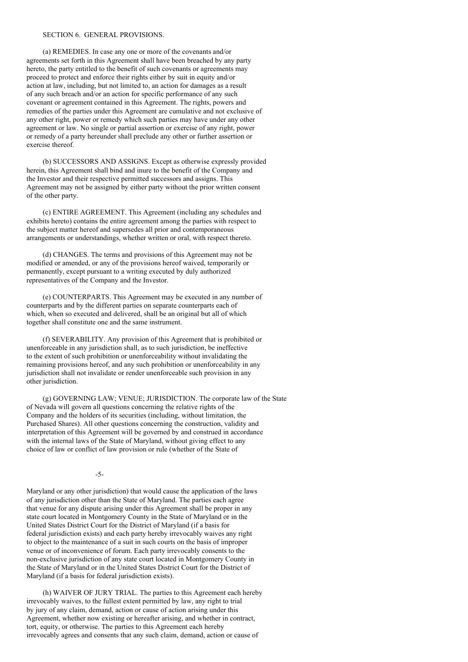#### SECTION 6. GENERAL PROVISIONS.

(a) REMEDIES. In case any one or more of the covenants and/or agreements set forth in this Agreement shall have been breached by any party hereto, the party entitled to the benefit of such covenants or agreements may proceed to protect and enforce their rights either by suit in equity and/or action at law, including, but not limited to, an action for damages as a result of any such breach and/or an action for specific performance of any such covenant or agreement contained in this Agreement. The rights, powers and remedies of the parties under this Agreement are cumulative and not exclusive of any other right, power or remedy which such parties may have under any other agreement or law. No single or partial assertion or exercise of any right, power or remedy of a party hereunder shall preclude any other or further assertion or exercise thereof.

(b) SUCCESSORS AND ASSIGNS. Except as otherwise expressly provided herein, this Agreement shall bind and inure to the benefit of the Company and the Investor and their respective permitted successors and assigns. This Agreement may not be assigned by either party without the prior written consent of the other party.

(c) ENTIRE AGREEMENT. This Agreement (including any schedules and exhibits hereto) contains the entire agreement among the parties with respect to the subject matter hereof and supersedes all prior and contemporaneous arrangements or understandings, whether written or oral, with respect thereto.

(d) CHANGES. The terms and provisions of this Agreement may not be modified or amended, or any of the provisions hereof waived, temporarily or permanently, except pursuant to a writing executed by duly authorized representatives of the Company and the Investor.

(e) COUNTERPARTS. This Agreement may be executed in any number of counterparts and by the different parties on separate counterparts each of which, when so executed and delivered, shall be an original but all of which together shall constitute one and the same instrument.

(f) SEVERABILITY. Any provision of this Agreement that is prohibited or unenforceable in any jurisdiction shall, as to such jurisdiction, be ineffective to the extent of such prohibition or unenforceability without invalidating the remaining provisions hereof, and any such prohibition or unenforceability in any jurisdiction shall not invalidate or render unenforceable such provision in any other jurisdiction.

(g) GOVERNING LAW; VENUE; JURISDICTION. The corporate law of the State of Nevada will govern all questions concerning the relative rights of the Company and the holders of its securities (including, without limitation, the Purchased Shares). All other questions concerning the construction, validity and interpretation of this Agreement will be governed by and construed in accordance with the internal laws of the State of Maryland, without giving effect to any choice of law or conflict of law provision or rule (whether of the State of

-5-

Maryland or any other jurisdiction) that would cause the application of the laws of any jurisdiction other than the State of Maryland. The parties each agree that venue for any dispute arising under this Agreement shall be proper in any state court located in Montgomery County in the State of Maryland or in the United States District Court for the District of Maryland (if a basis for federal jurisdiction exists) and each party hereby irrevocably waives any right to object to the maintenance of a suit in such courts on the basis of improper venue or of inconvenience of forum. Each party irrevocably consents to the non-exclusive jurisdiction of any state court located in Montgomery County in the State of Maryland or in the United States District Court for the District of Maryland (if a basis for federal jurisdiction exists).

(h) WAIVER OF JURY TRIAL. The parties to this Agreement each hereby irrevocably waives, to the fullest extent permitted by law, any right to trial by jury of any claim, demand, action or cause of action arising under this Agreement, whether now existing or hereafter arising, and whether in contract, tort, equity, or otherwise. The parties to this Agreement each hereby irrevocably agrees and consents that any such claim, demand, action or cause of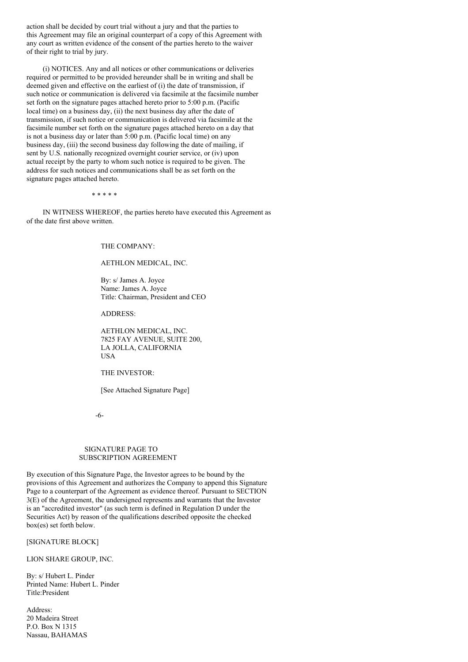action shall be decided by court trial without a jury and that the parties to this Agreement may file an original counterpart of a copy of this Agreement with any court as written evidence of the consent of the parties hereto to the waiver of their right to trial by jury.

(i) NOTICES. Any and all notices or other communications or deliveries required or permitted to be provided hereunder shall be in writing and shall be deemed given and effective on the earliest of (i) the date of transmission, if such notice or communication is delivered via facsimile at the facsimile number set forth on the signature pages attached hereto prior to 5:00 p.m. (Pacific local time) on a business day, (ii) the next business day after the date of transmission, if such notice or communication is delivered via facsimile at the facsimile number set forth on the signature pages attached hereto on a day that is not a business day or later than 5:00 p.m. (Pacific local time) on any business day, (iii) the second business day following the date of mailing, if sent by U.S. nationally recognized overnight courier service, or (iv) upon actual receipt by the party to whom such notice is required to be given. The address for such notices and communications shall be as set forth on the signature pages attached hereto.

\* \* \* \* \*

IN WITNESS WHEREOF, the parties hereto have executed this Agreement as of the date first above written.

THE COMPANY:

### AETHLON MEDICAL, INC.

By: s/ James A. Joyce Name: James A. Joyce Title: Chairman, President and CEO

ADDRESS:

AETHLON MEDICAL, INC. 7825 FAY AVENUE, SUITE 200, LA JOLLA, CALIFORNIA USA

THE INVESTOR:

[See Attached Signature Page]

-6-

#### SIGNATURE PAGE TO SUBSCRIPTION AGREEMENT

By execution of this Signature Page, the Investor agrees to be bound by the provisions of this Agreement and authorizes the Company to append this Signature Page to a counterpart of the Agreement as evidence thereof. Pursuant to SECTION 3(E) of the Agreement, the undersigned represents and warrants that the Investor is an "accredited investor" (as such term is defined in Regulation D under the Securities Act) by reason of the qualifications described opposite the checked box(es) set forth below.

[SIGNATURE BLOCK]

LION SHARE GROUP, INC.

By: s/ Hubert L. Pinder Printed Name: Hubert L. Pinder Title:President

Address: 20 Madeira Street P.O. Box N 1315 Nassau, BAHAMAS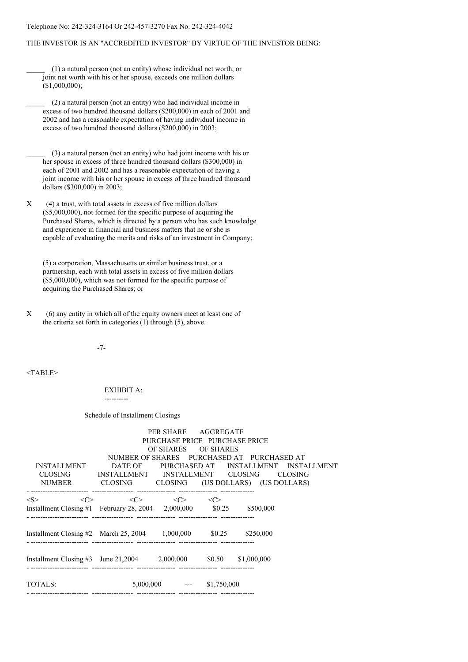### Telephone No: 242-324-3164 Or 242-457-3270 Fax No. 242-324-4042

#### THE INVESTOR IS AN "ACCREDITED INVESTOR" BY VIRTUE OF THE INVESTOR BEING:

\_\_\_\_\_ (1) a natural person (not an entity) whose individual net worth, or joint net worth with his or her spouse, exceeds one million dollars (\$1,000,000);

\_\_\_\_\_ (2) a natural person (not an entity) who had individual income in excess of two hundred thousand dollars (\$200,000) in each of 2001 and 2002 and has a reasonable expectation of having individual income in excess of two hundred thousand dollars (\$200,000) in 2003;

\_\_\_\_\_ (3) a natural person (not an entity) who had joint income with his or her spouse in excess of three hundred thousand dollars (\$300,000) in each of 2001 and 2002 and has a reasonable expectation of having a joint income with his or her spouse in excess of three hundred thousand dollars (\$300,000) in 2003;

X (4) a trust, with total assets in excess of five million dollars (\$5,000,000), not formed for the specific purpose of acquiring the Purchased Shares, which is directed by a person who has such knowledge and experience in financial and business matters that he or she is capable of evaluating the merits and risks of an investment in Company;

(5) a corporation, Massachusetts or similar business trust, or a partnership, each with total assets in excess of five million dollars (\$5,000,000), which was not formed for the specific purpose of acquiring the Purchased Shares; or

-7-

<TABLE>

#### EXHIBIT A: ----------

#### Schedule of Installment Closings

|                                                                                     |                                                                                                     | PER SHARE AGGREGATE<br>PURCHASE PRICE PURCHASE PRICE<br>OF SHARES OF SHARES |              |                                            |                                              |
|-------------------------------------------------------------------------------------|-----------------------------------------------------------------------------------------------------|-----------------------------------------------------------------------------|--------------|--------------------------------------------|----------------------------------------------|
| INSTALLMENT                                                                         | CLOSING INSTALLMENT INSTALLMENT CLOSING CLOSING<br>NUMBER CLOSING CLOSING (US DOLLARS) (US DOLLARS) |                                                                             |              | NUMBER OF SHARES PURCHASED AT PURCHASED AT | DATE OF PURCHASED AT INSTALLMENT INSTALLMENT |
| < S ><br><<><br>Installment Closing #1 February 28, 2004 2,000,000 \$0.25 \$500,000 | $\langle C \rangle$                                                                                 | $\langle$ $\rangle$                                                         | $\langle$ C> |                                            |                                              |
| Installment Closing #2 March 25, 2004 1,000,000 \$0.25 \$250,000                    |                                                                                                     |                                                                             |              |                                            |                                              |
| Installment Closing #3 June 21,2004 2,000,000 \$0.50 \$1,000,000                    |                                                                                                     |                                                                             |              |                                            |                                              |
| TOTALS:                                                                             |                                                                                                     | $5,000,000$ --- \$1,750,000                                                 |              |                                            |                                              |

X (6) any entity in which all of the equity owners meet at least one of the criteria set forth in categories (1) through (5), above.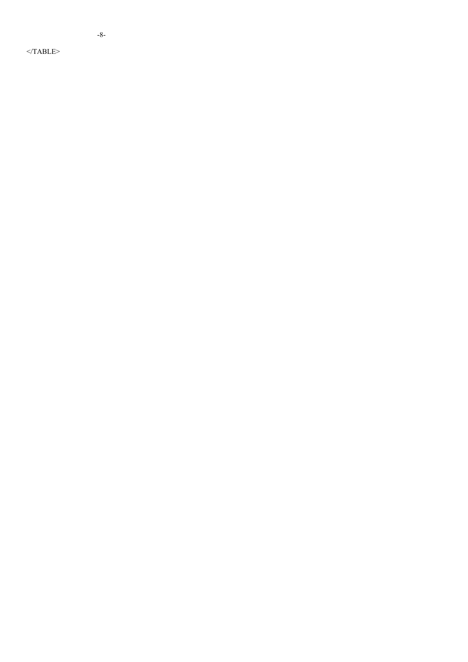$\leq$ /TABLE>

- 8 -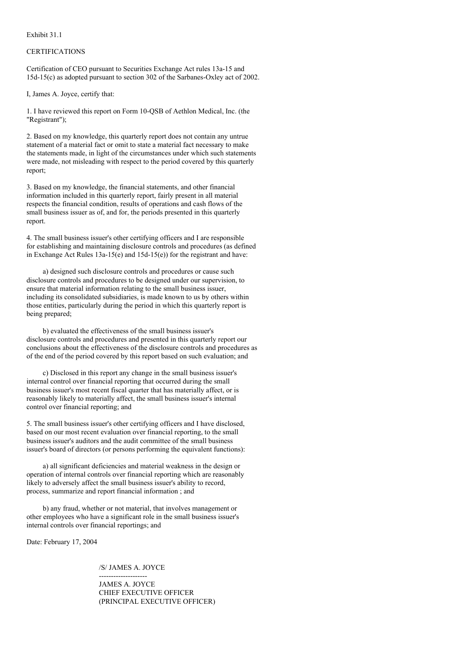Exhibit 31.1

### **CERTIFICATIONS**

Certification of CEO pursuant to Securities Exchange Act rules 13a-15 and 15d-15(c) as adopted pursuant to section 302 of the Sarbanes-Oxley act of 2002.

I, James A. Joyce, certify that:

1. I have reviewed this report on Form 10-QSB of Aethlon Medical, Inc. (the "Registrant");

2. Based on my knowledge, this quarterly report does not contain any untrue statement of a material fact or omit to state a material fact necessary to make the statements made, in light of the circumstances under which such statements were made, not misleading with respect to the period covered by this quarterly report;

3. Based on my knowledge, the financial statements, and other financial information included in this quarterly report, fairly present in all material respects the financial condition, results of operations and cash flows of the small business issuer as of, and for, the periods presented in this quarterly report.

4. The small business issuer's other certifying officers and I are responsible for establishing and maintaining disclosure controls and procedures (as defined in Exchange Act Rules  $13a-15(e)$  and  $15d-15(e)$ ) for the registrant and have:

a) designed such disclosure controls and procedures or cause such disclosure controls and procedures to be designed under our supervision, to ensure that material information relating to the small business issuer, including its consolidated subsidiaries, is made known to us by others within those entities, particularly during the period in which this quarterly report is being prepared;

b) evaluated the effectiveness of the small business issuer's disclosure controls and procedures and presented in this quarterly report our conclusions about the effectiveness of the disclosure controls and procedures as of the end of the period covered by this report based on such evaluation; and

c) Disclosed in this report any change in the small business issuer's internal control over financial reporting that occurred during the small business issuer's most recent fiscal quarter that has materially affect, or is reasonably likely to materially affect, the small business issuer's internal control over financial reporting; and

5. The small business issuer's other certifying officers and I have disclosed, based on our most recent evaluation over financial reporting, to the small business issuer's auditors and the audit committee of the small business issuer's board of directors (or persons performing the equivalent functions):

a) all significant deficiencies and material weakness in the design or operation of internal controls over financial reporting which are reasonably likely to adversely affect the small business issuer's ability to record, process, summarize and report financial information ; and

b) any fraud, whether or not material, that involves management or other employees who have a significant role in the small business issuer's internal controls over financial reportings; and

Date: February 17, 2004

/S/ JAMES A. JOYCE

-------------------- JAMES A. JOYCE CHIEF EXECUTIVE OFFICER (PRINCIPAL EXECUTIVE OFFICER)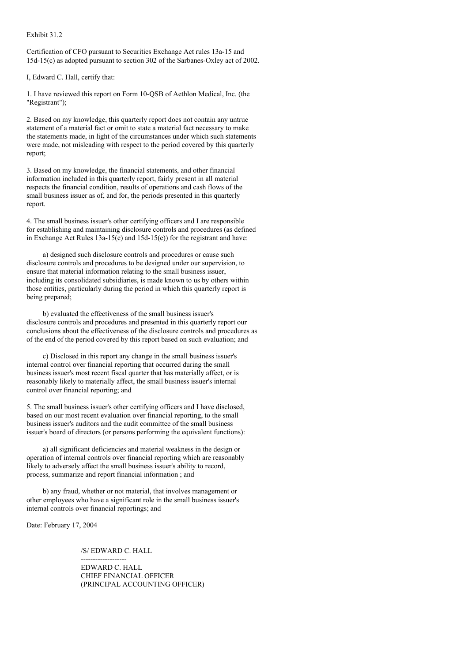Exhibit 31.2

Certification of CFO pursuant to Securities Exchange Act rules 13a-15 and 15d-15(c) as adopted pursuant to section 302 of the Sarbanes-Oxley act of 2002.

I, Edward C. Hall, certify that:

1. I have reviewed this report on Form 10-QSB of Aethlon Medical, Inc. (the "Registrant");

2. Based on my knowledge, this quarterly report does not contain any untrue statement of a material fact or omit to state a material fact necessary to make the statements made, in light of the circumstances under which such statements were made, not misleading with respect to the period covered by this quarterly report;

3. Based on my knowledge, the financial statements, and other financial information included in this quarterly report, fairly present in all material respects the financial condition, results of operations and cash flows of the small business issuer as of, and for, the periods presented in this quarterly report.

4. The small business issuer's other certifying officers and I are responsible for establishing and maintaining disclosure controls and procedures (as defined in Exchange Act Rules 13a-15(e) and 15d-15(e)) for the registrant and have:

a) designed such disclosure controls and procedures or cause such disclosure controls and procedures to be designed under our supervision, to ensure that material information relating to the small business issuer, including its consolidated subsidiaries, is made known to us by others within those entities, particularly during the period in which this quarterly report is being prepared;

b) evaluated the effectiveness of the small business issuer's disclosure controls and procedures and presented in this quarterly report our conclusions about the effectiveness of the disclosure controls and procedures as of the end of the period covered by this report based on such evaluation; and

c) Disclosed in this report any change in the small business issuer's internal control over financial reporting that occurred during the small business issuer's most recent fiscal quarter that has materially affect, or is reasonably likely to materially affect, the small business issuer's internal control over financial reporting; and

5. The small business issuer's other certifying officers and I have disclosed, based on our most recent evaluation over financial reporting, to the small business issuer's auditors and the audit committee of the small business issuer's board of directors (or persons performing the equivalent functions):

a) all significant deficiencies and material weakness in the design or operation of internal controls over financial reporting which are reasonably likely to adversely affect the small business issuer's ability to record, process, summarize and report financial information ; and

b) any fraud, whether or not material, that involves management or other employees who have a significant role in the small business issuer's internal controls over financial reportings; and

Date: February 17, 2004

/S/ EDWARD C. HALL

------------------- EDWARD C. HALL CHIEF FINANCIAL OFFICER (PRINCIPAL ACCOUNTING OFFICER)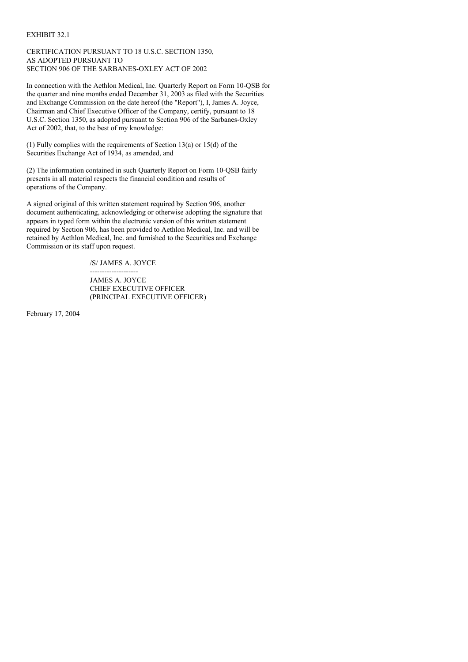### EXHIBIT 32.1

### CERTIFICATION PURSUANT TO 18 U.S.C. SECTION 1350, AS ADOPTED PURSUANT TO SECTION 906 OF THE SARBANES-OXLEY ACT OF 2002

In connection with the Aethlon Medical, Inc. Quarterly Report on Form 10-QSB for the quarter and nine months ended December 31, 2003 as filed with the Securities and Exchange Commission on the date hereof (the "Report"), I, James A. Joyce, Chairman and Chief Executive Officer of the Company, certify, pursuant to 18 U.S.C. Section 1350, as adopted pursuant to Section 906 of the Sarbanes-Oxley Act of 2002, that, to the best of my knowledge:

(1) Fully complies with the requirements of Section 13(a) or 15(d) of the Securities Exchange Act of 1934, as amended, and

(2) The information contained in such Quarterly Report on Form 10-QSB fairly presents in all material respects the financial condition and results of operations of the Company.

A signed original of this written statement required by Section 906, another document authenticating, acknowledging or otherwise adopting the signature that appears in typed form within the electronic version of this written statement required by Section 906, has been provided to Aethlon Medical, Inc. and will be retained by Aethlon Medical, Inc. and furnished to the Securities and Exchange Commission or its staff upon request.

/S/ JAMES A. JOYCE

-------------------- JAMES A. JOYCE CHIEF EXECUTIVE OFFICER (PRINCIPAL EXECUTIVE OFFICER)

February 17, 2004